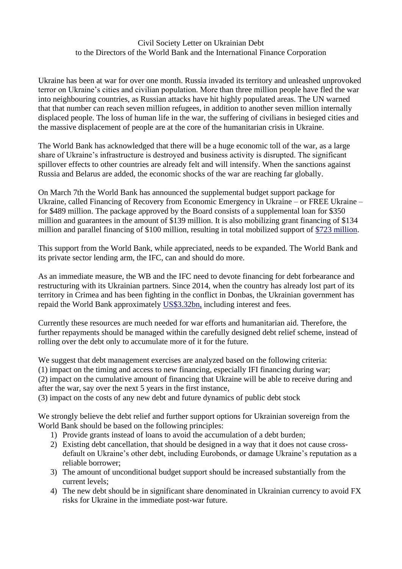## Civil Society Letter on Ukrainian Debt to the Directors of the World Bank and the International Finance Corporation

Ukraine has been at war for over one month. Russia invaded its territory and unleashed unprovoked terror on Ukraine's cities and civilian population. More than three million people have fled the war into neighbouring countries, as Russian attacks have hit highly populated areas. The UN warned that that number can reach seven million refugees, in addition to another seven million internally displaced people. The loss of human life in the war, the suffering of civilians in besieged cities and the massive displacement of people are at the core of the humanitarian crisis in Ukraine.

The World Bank has acknowledged that there will be a huge economic toll of the war, as a large share of Ukraine's infrastructure is destroyed and business activity is disrupted. The significant spillover effects to other countries are already felt and will intensify. When the sanctions against Russia and Belarus are added, the economic shocks of the war are reaching far globally.

On March 7th the World Bank has announced the supplemental budget support package for Ukraine, called Financing of Recovery from Economic Emergency in Ukraine – or FREE Ukraine – for \$489 million. The package approved by the Board consists of a supplemental loan for \$350 million and guarantees in the amount of \$139 million. It is also mobilizing grant financing of \$134 million and parallel financing of \$100 million, resulting in total mobilized support of [\\$723 million.](https://www.worldbank.org/en/news/press-release/2022/03/07/world-bank-mobilizes-an-emergency-financing-package-of-over-700-million-for-ukraine?cid=ECR_TT_worldbank_EN_EXT)

This support from the World Bank, while appreciated, needs to be expanded. The World Bank and its private sector lending arm, the IFC, can and should do more.

As an immediate measure, the WB and the IFC need to devote financing for debt forbearance and restructuring with its Ukrainian partners. Since 2014, when the country has already lost part of its territory in Crimea and has been fighting in the conflict in Donbas, the Ukrainian government has repaid the World Bank approximately [US\\$3.32bn,](https://financesapp.worldbank.org/summaries/ibrd-ida/#ibrd-net/countries=Ukraine/sort=fiscal_year-desc/) including interest and fees.

Currently these resources are much needed for war efforts and humanitarian aid. Therefore, the further repayments should be managed within the carefully designed debt relief scheme, instead of rolling over the debt only to accumulate more of it for the future.

We suggest that debt management exercises are analyzed based on the following criteria: (1) impact on the timing and access to new financing, especially IFI financing during war; (2) impact on the cumulative amount of financing that Ukraine will be able to receive during and after the war, say over the next 5 years in the first instance,

(3) impact on the costs of any new debt and future dynamics of public debt stock

We strongly believe the debt relief and further support options for Ukrainian sovereign from the World Bank should be based on the following principles:

- 1) Provide grants instead of loans to avoid the accumulation of a debt burden;
- 2) Existing debt cancellation, that should be designed in a way that it does not cause crossdefault on Ukraine's other debt, including Eurobonds, or damage Ukraine's reputation as a reliable borrower;
- 3) The amount of unconditional budget support should be increased substantially from the current levels;
- 4) The new debt should be in significant share denominated in Ukrainian currency to avoid FX risks for Ukraine in the immediate post-war future.